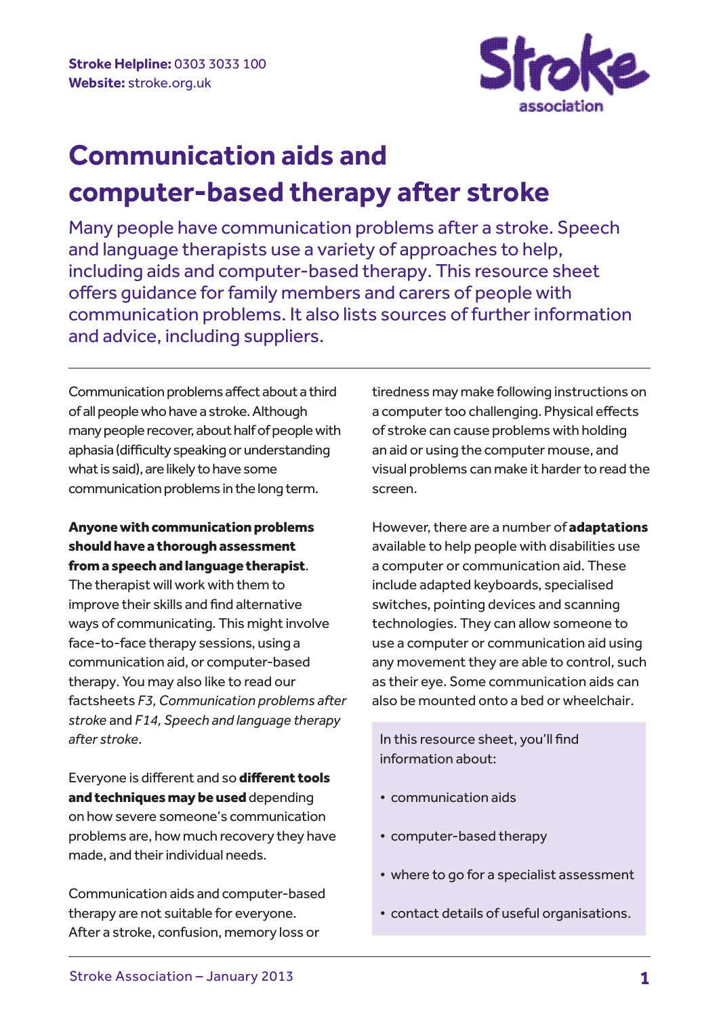

# **Communication aids and computer-based therapy after stroke**

Many people have communication problems after a stroke. Speech and language therapists use a variety of approaches to help, including aids and computer-based therapy. This resource sheet offers guidance for family members and carers of people with communication problems. It also lists sources of further information and advice, including suppliers.

Communication problems affect about a third of all people who have a stroke. Although many people recover, about half of people with aphasia (difficulty speaking or understanding what is said), are likely to have some communication problems in the long term.

## Anyone with communication problems should have a thorough assessment from a speech and language therapist.

The therapist will work with them to improve their skills and find alternative ways of communicating. This might involve face-to-face therapy sessions, using a communication aid, or computer-based therapy. You may also like to read our factsheets *F3, Communication problems after stroke* and *F14, Speech and language therapy after stroke*.

Everyone is different and so different tools and techniques may be used depending on how severe someone's communication problems are, how much recovery they have made, and their individual needs.

Communication aids and computer-based therapy are not suitable for everyone. After a stroke, confusion, memory loss or

tiredness may make following instructions on a computer too challenging. Physical effects of stroke can cause problems with holding an aid or using the computer mouse, and visual problems can make it harder to read the screen.

However, there are a number of **adaptations** available to help people with disabilities use a computer or communication aid. These include adapted keyboards, specialised switches, pointing devices and scanning technologies. They can allow someone to use a computer or communication aid using any movement they are able to control, such as their eye. Some communication aids can also be mounted onto a bed or wheelchair.

 In this resource sheet, you'll find information about:

- communication aids
- computer-based therapy
- where to go for a specialist assessment
- contact details of useful organisations.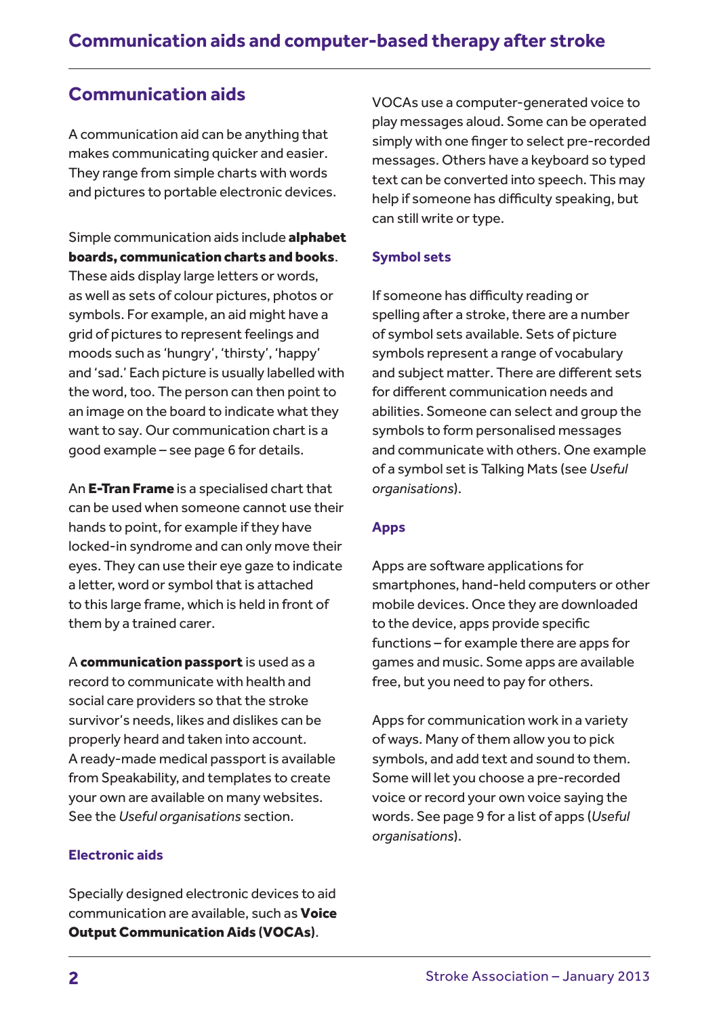## **Communication aids**

A communication aid can be anything that makes communicating quicker and easier. They range from simple charts with words and pictures to portable electronic devices.

Simple communication aids include alphabet boards, communication charts and books. These aids display large letters or words, as well as sets of colour pictures, photos or symbols. For example, an aid might have a grid of pictures to represent feelings and moods such as 'hungry', 'thirsty', 'happy' and 'sad.' Each picture is usually labelled with the word, too. The person can then point to an image on the board to indicate what they want to say. Our communication chart is a good example – see page 6 for details.

An E-Tran Frame is a specialised chart that can be used when someone cannot use their hands to point, for example if they have locked-in syndrome and can only move their eyes. They can use their eye gaze to indicate a letter, word or symbol that is attached to this large frame, which is held in front of them by a trained carer.

A communication passport is used as a record to communicate with health and social care providers so that the stroke survivor's needs, likes and dislikes can be properly heard and taken into account. A ready-made medical passport is available from Speakability, and templates to create your own are available on many websites. See the *Useful organisations* section.

## **Electronic aids**

Specially designed electronic devices to aid communication are available, such as **Voice** Output Communication Aids (VOCAs).

VOCAs use a computer-generated voice to play messages aloud. Some can be operated simply with one finger to select pre-recorded messages. Others have a keyboard so typed text can be converted into speech. This may help if someone has difficulty speaking, but can still write or type.

## **Symbol sets**

If someone has difficulty reading or spelling after a stroke, there are a number of symbol sets available. Sets of picture symbols represent a range of vocabulary and subject matter. There are different sets for different communication needs and abilities. Someone can select and group the symbols to form personalised messages and communicate with others. One example of a symbol set is Talking Mats (see *Useful organisations*).

### **Apps**

Apps are software applications for smartphones, hand-held computers or other mobile devices. Once they are downloaded to the device, apps provide specific functions – for example there are apps for games and music. Some apps are available free, but you need to pay for others.

Apps for communication work in a variety of ways. Many of them allow you to pick symbols, and add text and sound to them. Some will let you choose a pre-recorded voice or record your own voice saying the words. See page 9 for a list of apps (*Useful organisations*).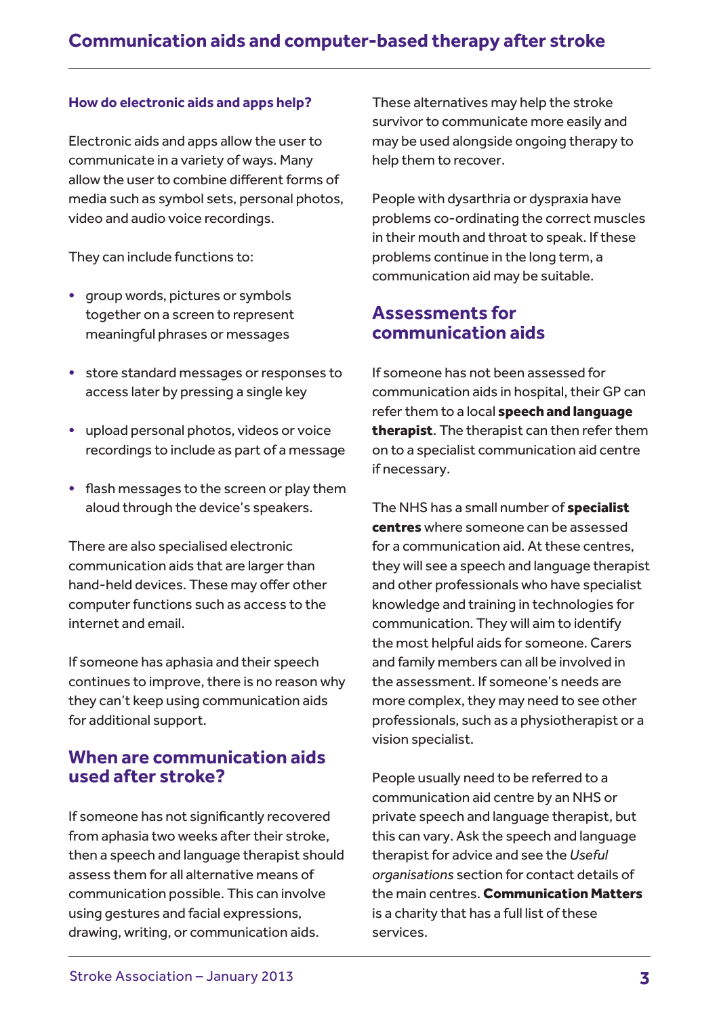### **How do electronic aids and apps help?**

Electronic aids and apps allow the user to communicate in a variety of ways. Many allow the user to combine different forms of media such as symbol sets, personal photos, video and audio voice recordings.

They can include functions to:

- group words, pictures or symbols together on a screen to represent meaningful phrases or messages
- store standard messages or responses to access later by pressing a single key
- upload personal photos, videos or voice recordings to include as part of a message
- flash messages to the screen or play them aloud through the device's speakers.

There are also specialised electronic communication aids that are larger than hand-held devices. These may offer other computer functions such as access to the internet and email.

If someone has aphasia and their speech continues to improve, there is no reason why they can't keep using communication aids for additional support.

## **When are communication aids used after stroke?**

If someone has not significantly recovered from aphasia two weeks after their stroke, then a speech and language therapist should assess them for all alternative means of communication possible. This can involve using gestures and facial expressions, drawing, writing, or communication aids.

These alternatives may help the stroke survivor to communicate more easily and may be used alongside ongoing therapy to help them to recover.

People with dysarthria or dyspraxia have problems co-ordinating the correct muscles in their mouth and throat to speak. If these problems continue in the long term, a communication aid may be suitable.

## **Assessments for communication aids**

If someone has not been assessed for communication aids in hospital, their GP can refer them to a local speech and language therapist. The therapist can then refer them on to a specialist communication aid centre if necessary.

The NHS has a small number of **specialist** centres where someone can be assessed for a communication aid. At these centres, they will see a speech and language therapist and other professionals who have specialist knowledge and training in technologies for communication. They will aim to identify the most helpful aids for someone. Carers and family members can all be involved in the assessment. If someone's needs are more complex, they may need to see other professionals, such as a physiotherapist or a vision specialist.

People usually need to be referred to a communication aid centre by an NHS or private speech and language therapist, but this can vary. Ask the speech and language therapist for advice and see the *Useful organisations* section for contact details of the main centres. Communication Matters is a charity that has a full list of these services.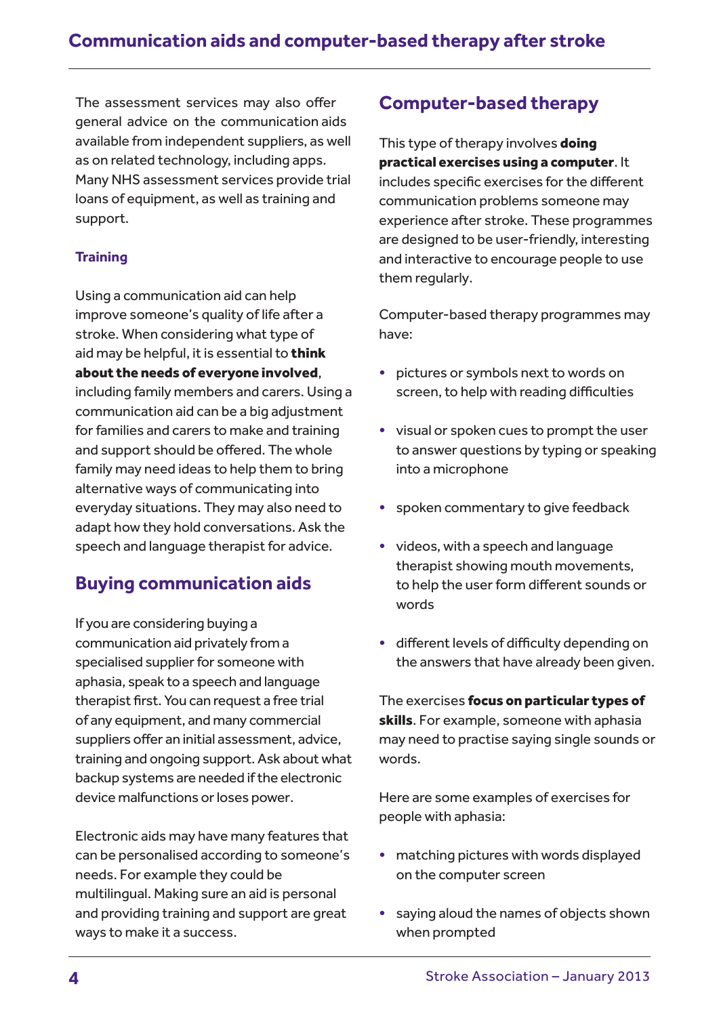The assessment services may also offer general advice on the communication aids available from independent suppliers, as well as on related technology, including apps. Many NHS assessment services provide trial loans of equipment, as well as training and support.

## **Training**

Using a communication aid can help improve someone's quality of life after a stroke. When considering what type of aid may be helpful, it is essential to think about the needs of everyone involved, including family members and carers. Using a communication aid can be a big adjustment for families and carers to make and training and support should be offered. The whole family may need ideas to help them to bring alternative ways of communicating into everyday situations. They may also need to adapt how they hold conversations. Ask the speech and language therapist for advice.

## **Buying communication aids**

If you are considering buying a communication aid privately from a specialised supplier for someone with aphasia, speak to a speech and language therapist first. You can request a free trial of any equipment, and many commercial suppliers offer an initial assessment, advice, training and ongoing support. Ask about what backup systems are needed if the electronic device malfunctions or loses power.

Electronic aids may have many features that can be personalised according to someone's needs. For example they could be multilingual. Making sure an aid is personal and providing training and support are great ways to make it a success.

## **Computer-based therapy**

This type of therapy involves **doing** practical exercises using a computer. It includes specific exercises for the different communication problems someone may experience after stroke. These programmes are designed to be user-friendly, interesting and interactive to encourage people to use them regularly.

Computer-based therapy programmes may have:

- pictures or symbols next to words on screen, to help with reading difficulties
- visual or spoken cues to prompt the user to answer questions by typing or speaking into a microphone
- spoken commentary to give feedback
- videos, with a speech and language therapist showing mouth movements, to help the user form different sounds or words
- different levels of difficulty depending on the answers that have already been given.

The exercises focus on particular types of skills. For example, someone with aphasia may need to practise saying single sounds or words.

Here are some examples of exercises for people with aphasia:

- matching pictures with words displayed on the computer screen
- saying aloud the names of objects shown when prompted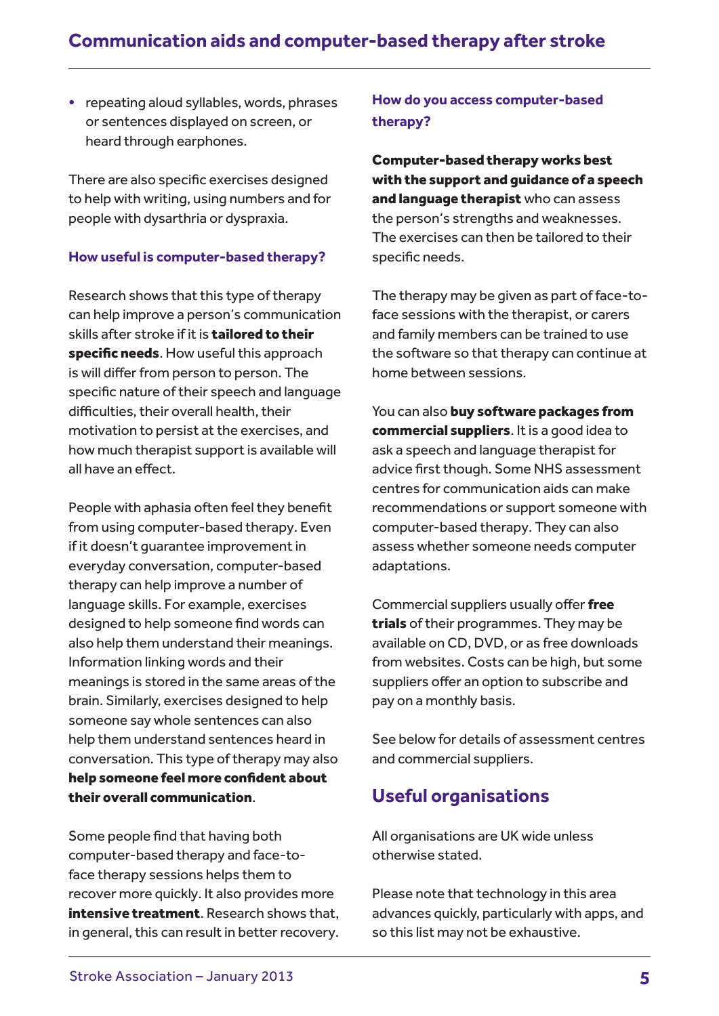## **Communication aids and computer-based therapy after stroke**

• repeating aloud syllables, words, phrases or sentences displayed on screen, or heard through earphones.

There are also specific exercises designed to help with writing, using numbers and for people with dysarthria or dyspraxia.

## **How useful is computer-based therapy?**

Research shows that this type of therapy can help improve a person's communication skills after stroke if it is **tailored to their** specific needs. How useful this approach is will differ from person to person. The specific nature of their speech and language difficulties, their overall health, their motivation to persist at the exercises, and how much therapist support is available will all have an effect.

People with aphasia often feel they benefit from using computer-based therapy. Even if it doesn't guarantee improvement in everyday conversation, computer-based therapy can help improve a number of language skills. For example, exercises designed to help someone find words can also help them understand their meanings. Information linking words and their meanings is stored in the same areas of the brain. Similarly, exercises designed to help someone say whole sentences can also help them understand sentences heard in conversation. This type of therapy may also help someone feel more confident about their overall communication.

Some people find that having both computer-based therapy and face-toface therapy sessions helps them to recover more quickly. It also provides more intensive treatment. Research shows that, in general, this can result in better recovery.

## **How do you access computer-based therapy?**

Computer-based therapy works best with the support and guidance of a speech and language therapist who can assess the person's strengths and weaknesses. The exercises can then be tailored to their specific needs.

The therapy may be given as part of face-toface sessions with the therapist, or carers and family members can be trained to use the software so that therapy can continue at home between sessions.

You can also buy software packages from commercial suppliers. It is a good idea to ask a speech and language therapist for advice first though. Some NHS assessment centres for communication aids can make recommendations or support someone with computer-based therapy. They can also assess whether someone needs computer adaptations.

Commercial suppliers usually offer free trials of their programmes. They may be available on CD, DVD, or as free downloads from websites. Costs can be high, but some suppliers offer an option to subscribe and pay on a monthly basis.

See below for details of assessment centres and commercial suppliers.

## **Useful organisations**

All organisations are UK wide unless otherwise stated.

Please note that technology in this area advances quickly, particularly with apps, and so this list may not be exhaustive.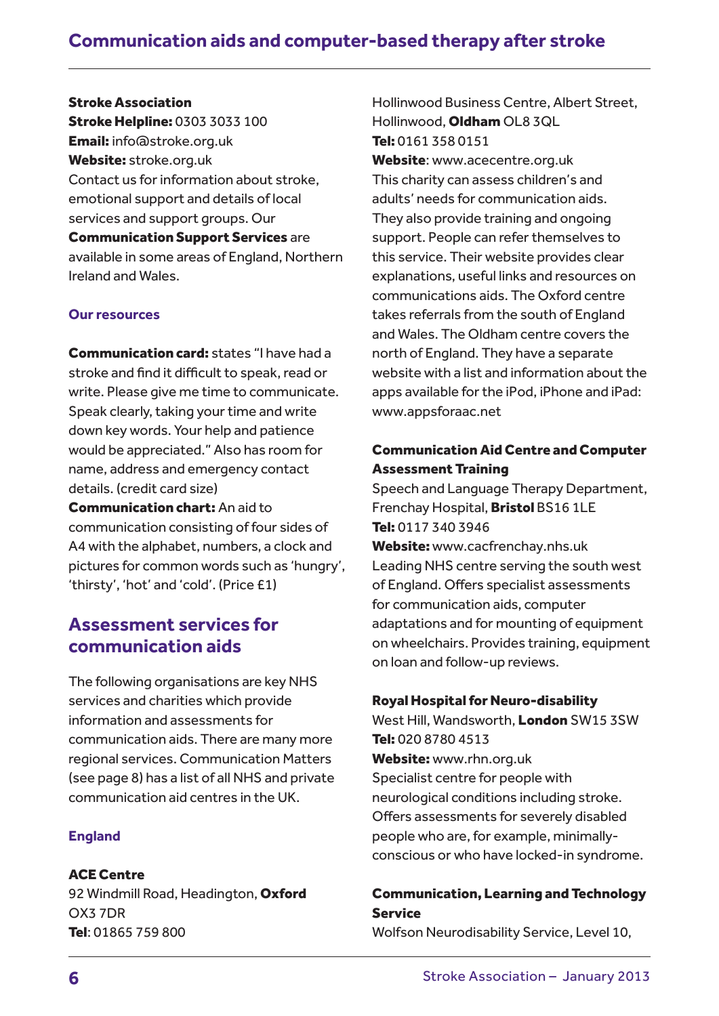## Stroke Association

Stroke Helpline: 0303 3033 100 Email: info@stroke.org.uk Website: stroke.org.uk Contact us for information about stroke, emotional support and details of local services and support groups. Our Communication Support Services are available in some areas of England, Northern Ireland and Wales.

## **Our resources**

Communication card: states "I have had a stroke and find it difficult to speak, read or write. Please give me time to communicate. Speak clearly, taking your time and write down key words. Your help and patience would be appreciated." Also has room for name, address and emergency contact details. (credit card size)

Communication chart: An aid to communication consisting of four sides of A4 with the alphabet, numbers, a clock and pictures for common words such as 'hungry', 'thirsty', 'hot' and 'cold'. (Price £1)

## **Assessment services for communication aids**

The following organisations are key NHS services and charities which provide information and assessments for communication aids. There are many more regional services. Communication Matters (see page 8) has a list of all NHS and private communication aid centres in the UK.

## **England**

ACE Centre

92 Windmill Road, Headington, Oxford OX3 7DR Tel: 01865 759 800

Hollinwood Business Centre, Albert Street, Hollinwood, Oldham OL8 3QL Tel: 0161 358 0151

Website: www.acecentre.org.uk This charity can assess children's and adults' needs for communication aids. They also provide training and ongoing support. People can refer themselves to this service. Their website provides clear explanations, useful links and resources on communications aids. The Oxford centre takes referrals from the south of England and Wales. The Oldham centre covers the north of England. They have a separate website with a list and information about the apps available for the iPod, iPhone and iPad: www.appsforaac.net

## Communication Aid Centre and Computer Assessment Training

Speech and Language Therapy Department, Frenchay Hospital, **Bristol** BS16 1LE Tel: 0117 340 3946

Website: www.cacfrenchay.nhs.uk Leading NHS centre serving the south west of England. Offers specialist assessments for communication aids, computer adaptations and for mounting of equipment on wheelchairs. Provides training, equipment on loan and follow-up reviews.

#### Royal Hospital for Neuro-disability

West Hill, Wandsworth, London SW15 3SW Tel: 020 8780 4513 Website: www.rhn.org.uk Specialist centre for people with neurological conditions including stroke. Offers assessments for severely disabled people who are, for example, minimallyconscious or who have locked-in syndrome.

## Communication, Learning and Technology Service

Wolfson Neurodisability Service, Level 10,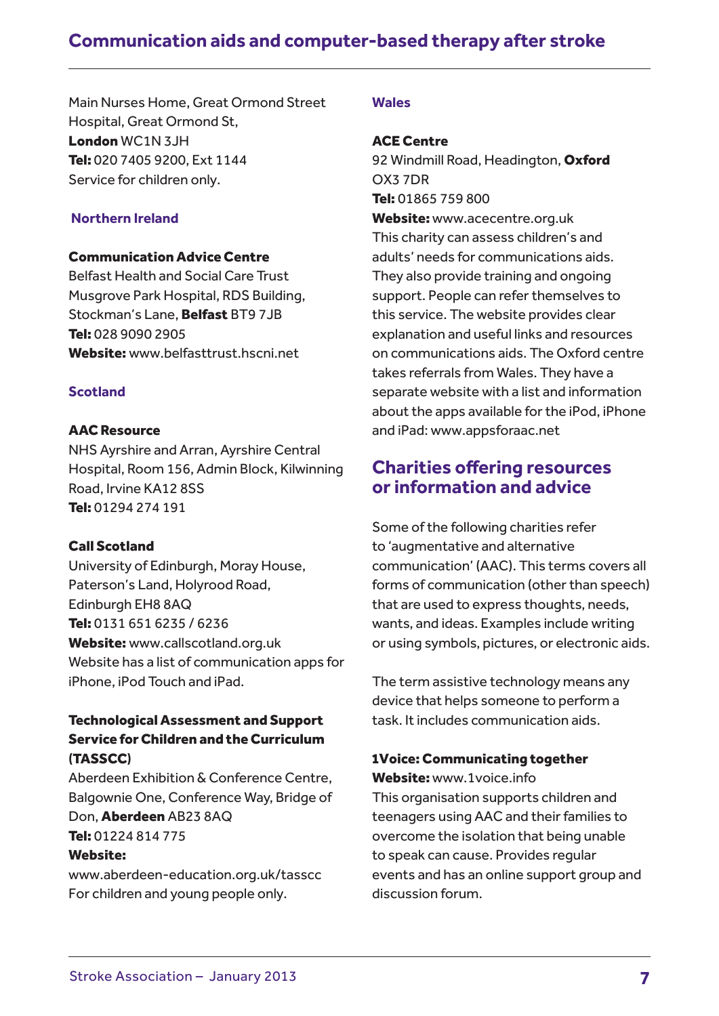## **Communication aids and computer-based therapy after stroke**

Main Nurses Home, Great Ormond Street Hospital, Great Ormond St, London WC1N 3JH Tel: 020 7405 9200, Ext 1144 Service for children only.

## **Northern Ireland**

## Communication Advice Centre

Belfast Health and Social Care Trust Musgrove Park Hospital, RDS Building, Stockman's Lane, **Belfast** BT9 7JB Tel: 028 9090 2905 Website: www.belfasttrust.hscni.net

## **Scotland**

#### AAC Resource

NHS Ayrshire and Arran, Ayrshire Central Hospital, Room 156, Admin Block, Kilwinning Road, Irvine KA12 8SS Tel: 01294 274 191

#### Call Scotland

University of Edinburgh, Moray House, Paterson's Land, Holyrood Road, Edinburgh EH8 8AQ Tel: 0131 651 6235 / 6236 Website: www.callscotland.org.uk Website has a list of communication apps for iPhone, iPod Touch and iPad.

## Technological Assessment and Support Service for Children and the Curriculum (TASSCC)

Aberdeen Exhibition & Conference Centre, Balgownie One, Conference Way, Bridge of Don, Aberdeen AB23 8AQ Tel: 01224 814 775

#### Website:

www.aberdeen-education.org.uk/tasscc For children and young people only.

## **Wales**

## ACE Centre

92 Windmill Road, Headington, Oxford OX3 7DR Tel: 01865 759 800 Website: www.acecentre.org.uk This charity can assess children's and adults' needs for communications aids. They also provide training and ongoing support. People can refer themselves to this service. The website provides clear explanation and useful links and resources on communications aids. The Oxford centre takes referrals from Wales. They have a separate website with a list and information about the apps available for the iPod, iPhone and iPad: www.appsforaac.net

## **Charities offering resources or information and advice**

Some of the following charities refer to 'augmentative and alternative communication' (AAC). This terms covers all forms of communication (other than speech) that are used to express thoughts, needs, wants, and ideas. Examples include writing or using symbols, pictures, or electronic aids.

The term assistive technology means any device that helps someone to perform a task. It includes communication aids.

## 1Voice: Communicating together

Website: www.1voice.info This organisation supports children and teenagers using AAC and their families to overcome the isolation that being unable to speak can cause. Provides regular events and has an online support group and discussion forum.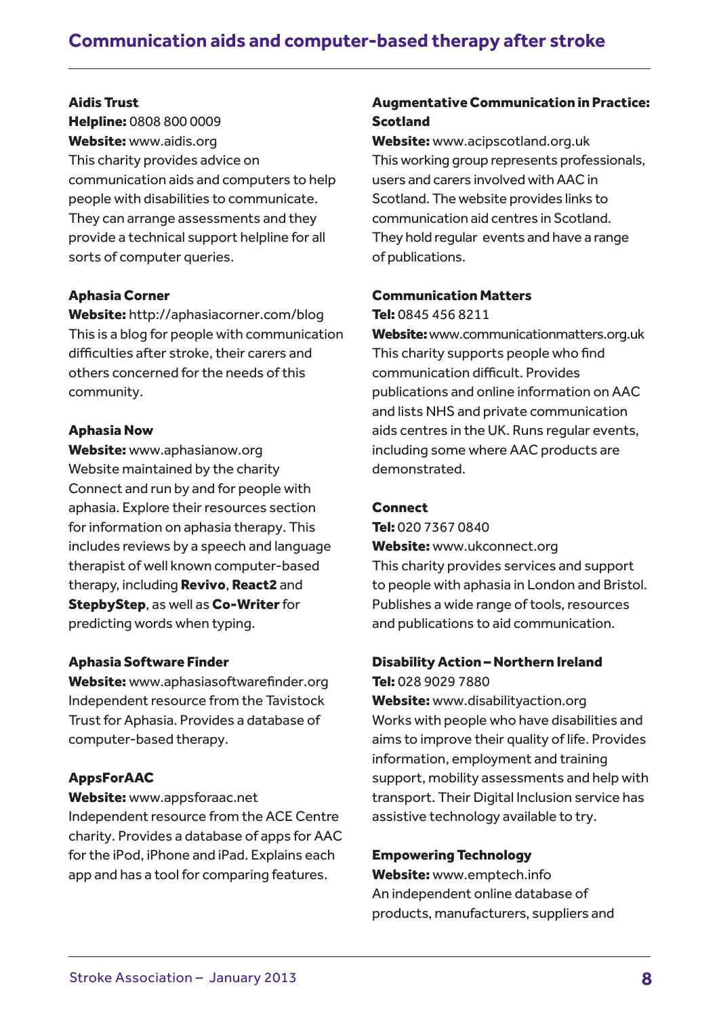## Aidis Trust

Helpline: 0808 800 0009 Website: www.aidis.org This charity provides advice on communication aids and computers to help people with disabilities to communicate. They can arrange assessments and they provide a technical support helpline for all sorts of computer queries.

## Aphasia Corner

Website: http://aphasiacorner.com/blog This is a blog for people with communication difficulties after stroke, their carers and others concerned for the needs of this community.

### Aphasia Now

Website: www.aphasianow.org Website maintained by the charity Connect and run by and for people with aphasia. Explore their resources section for information on aphasia therapy. This includes reviews by a speech and language therapist of well known computer-based therapy, including Revivo, React2 and StepbyStep, as well as Co-Writer for predicting words when typing.

### Aphasia Software Finder

Website: www.aphasiasoftwarefinder.org Independent resource from the Tavistock Trust for Aphasia. Provides a database of computer-based therapy.

## AppsForAAC

Website: www.appsforaac.net

Independent resource from the ACE Centre charity. Provides a database of apps for AAC for the iPod, iPhone and iPad. Explains each app and has a tool for comparing features.

## Augmentative Communication in Practice: Scotland

Website: www.acipscotland.org.uk This working group represents professionals, users and carers involved with AAC in Scotland. The website provides links to communication aid centres in Scotland. They hold regular events and have a range of publications.

### Communication Matters

Tel: 0845 456 8211

Website: www.communicationmatters.org.uk This charity supports people who find communication difficult. Provides publications and online information on AAC and lists NHS and private communication aids centres in the UK. Runs regular events, including some where AAC products are demonstrated.

#### **Connect**

Tel: 020 7367 0840 Website: www.ukconnect.org This charity provides services and support to people with aphasia in London and Bristol. Publishes a wide range of tools, resources and publications to aid communication.

### Disability Action – Northern Ireland

Tel: 028 9029 7880 Website: www.disabilityaction.org Works with people who have disabilities and aims to improve their quality of life. Provides information, employment and training support, mobility assessments and help with transport. Their Digital Inclusion service has assistive technology available to try.

### Empowering Technology

Website: www.emptech.info An independent online database of products, manufacturers, suppliers and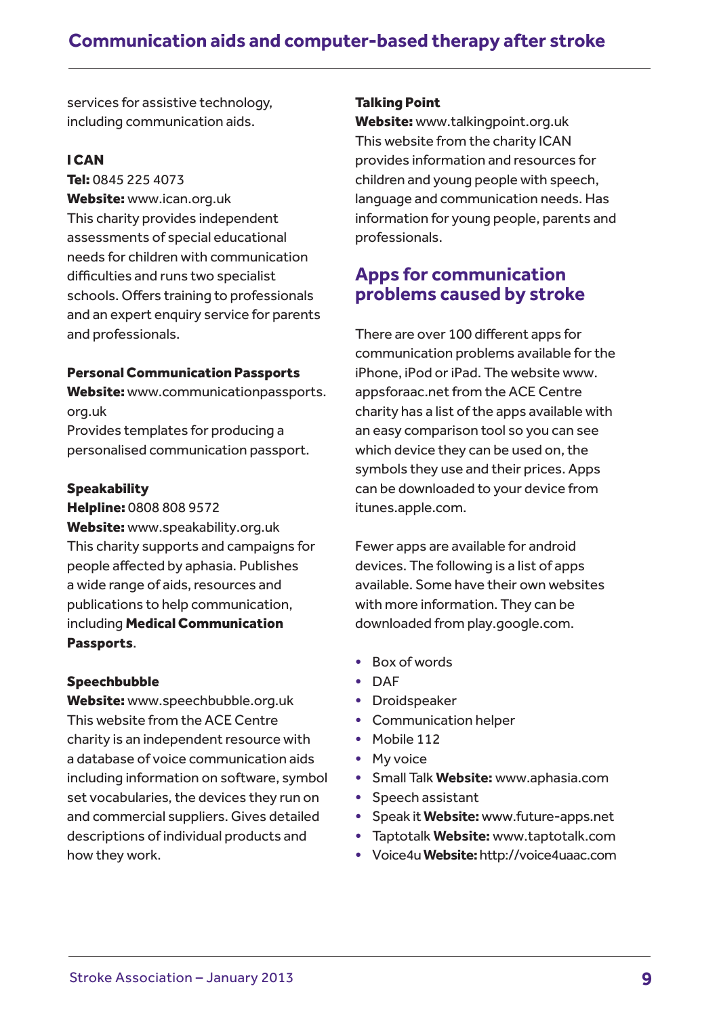services for assistive technology, including communication aids.

## I CAN

Tel: 0845 225 4073 Website: www.ican.org.uk This charity provides independent assessments of special educational needs for children with communication difficulties and runs two specialist schools. Offers training to professionals and an expert enquiry service for parents and professionals.

## Personal Communication Passports

Website: www.communicationpassports. org.uk

Provides templates for producing a personalised communication passport.

## **Speakability**

Helpline: 0808 808 9572

Website: www.speakability.org.uk This charity supports and campaigns for people affected by aphasia. Publishes a wide range of aids, resources and publications to help communication, including Medical Communication Passports.

## Speechbubble

Website: www.speechbubble.org.uk This website from the ACE Centre charity is an independent resource with a database of voice communication aids including information on software, symbol set vocabularies, the devices they run on and commercial suppliers. Gives detailed descriptions of individual products and how they work.

## Talking Point

Website: www.talkingpoint.org.uk This website from the charity ICAN provides information and resources for children and young people with speech, language and communication needs. Has information for young people, parents and professionals.

## **Apps for communication problems caused by stroke**

There are over 100 different apps for communication problems available for the iPhone, iPod or iPad. The website www. appsforaac.net from the ACE Centre charity has a list of the apps available with an easy comparison tool so you can see which device they can be used on, the symbols they use and their prices. Apps can be downloaded to your device from itunes.apple.com.

Fewer apps are available for android devices. The following is a list of apps available. Some have their own websites with more information. They can be downloaded from play.google.com.

- Box of words
- DAF
- Droidspeaker
- Communication helper
- Mobile 112
- My voice
- Small Talk **Website:** www.aphasia.com
- Speech assistant
- Speak it **Website:** www.future-apps.net
- Taptotalk **Website:** www.taptotalk.com
- Voice4u**Website:** http://voice4uaac.com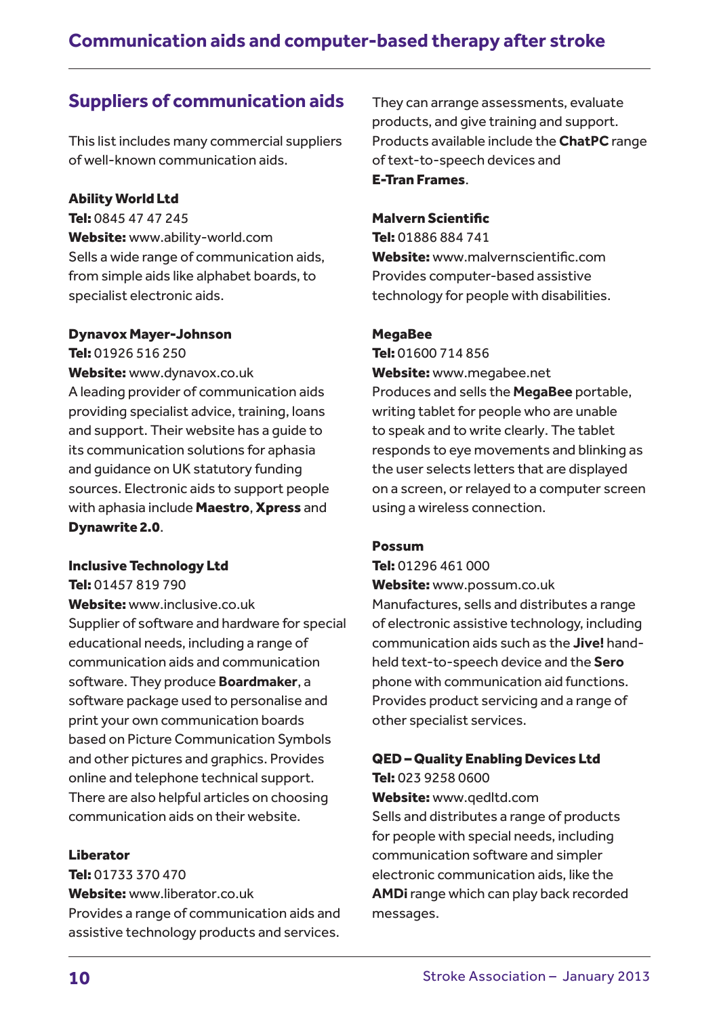## **Suppliers of communication aids**

This list includes many commercial suppliers of well-known communication aids.

## Ability World Ltd

Tel: 0845 47 47 245 Website: www.ability-world.com Sells a wide range of communication aids, from simple aids like alphabet boards, to specialist electronic aids.

## Dynavox Mayer-Johnson

Tel: 01926 516 250 Website: www.dynavox.co.uk A leading provider of communication aids providing specialist advice, training, loans and support. Their website has a guide to its communication solutions for aphasia and guidance on UK statutory funding sources. Electronic aids to support people with aphasia include **Maestro, Xpress** and Dynawrite 2.0.

### Inclusive Technology Ltd

Tel: 01457 819 790

Website: www.inclusive.co.uk Supplier of software and hardware for special educational needs, including a range of communication aids and communication software. They produce **Boardmaker**, a software package used to personalise and print your own communication boards based on Picture Communication Symbols and other pictures and graphics. Provides online and telephone technical support. There are also helpful articles on choosing communication aids on their website.

### Liberator

Tel: 01733 370 470

Website: www.liberator.co.uk Provides a range of communication aids and assistive technology products and services.

They can arrange assessments, evaluate products, and give training and support. Products available include the **ChatPC** range of text-to-speech devices and E-Tran Frames.

## Malvern Scientific

Tel: 01886 884 741 Website: www.malvernscientific.com Provides computer-based assistive technology for people with disabilities.

### MegaBee

Tel: 01600 714 856 Website: www.megabee.net Produces and sells the **MegaBee** portable, writing tablet for people who are unable to speak and to write clearly. The tablet responds to eye movements and blinking as the user selects letters that are displayed on a screen, or relayed to a computer screen using a wireless connection.

### Possum

Tel: 01296 461 000

Website: www.possum.co.uk Manufactures, sells and distributes a range of electronic assistive technology, including communication aids such as the **Jive!** handheld text-to-speech device and the **Sero** phone with communication aid functions. Provides product servicing and a range of other specialist services.

## QED – Quality Enabling Devices Ltd Tel: 023 9258 0600

Website: www.qedltd.com Sells and distributes a range of products for people with special needs, including communication software and simpler electronic communication aids, like the **AMDi** range which can play back recorded messages.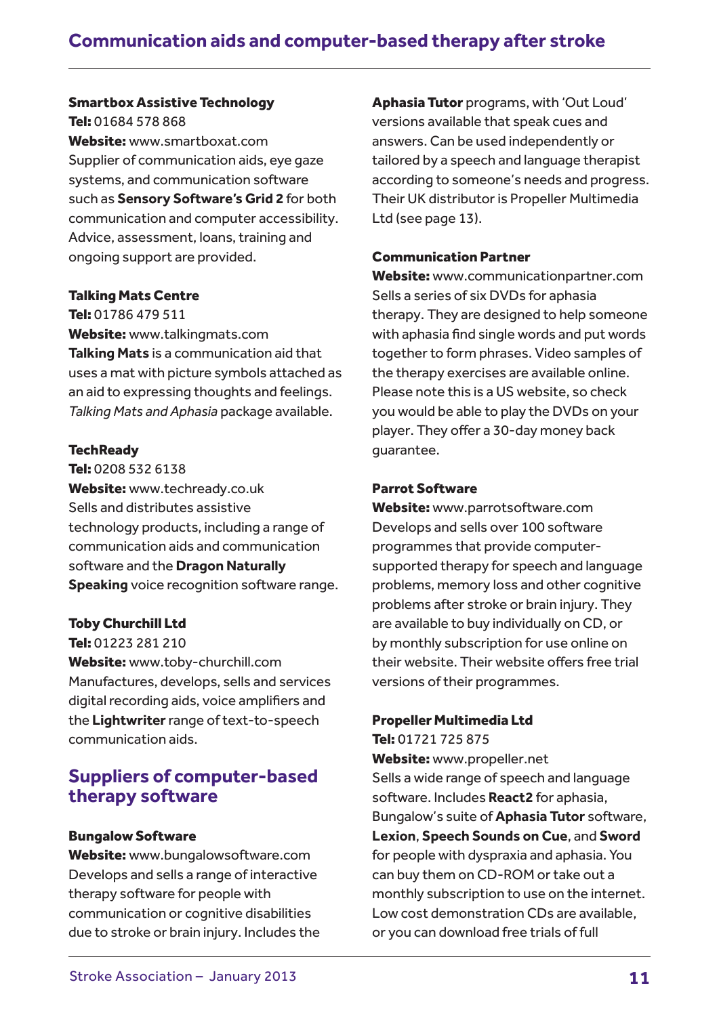## Smartbox Assistive Technology

Tel: 01684 578 868 Website: www.smartboxat.com Supplier of communication aids, eye gaze systems, and communication software such as **Sensory Software's Grid 2** for both communication and computer accessibility. Advice, assessment, loans, training and ongoing support are provided.

#### Talking Mats Centre

Tel: 01786 479 511 Website: www.talkingmats.com **Talking Mats** is a communication aid that uses a mat with picture symbols attached as an aid to expressing thoughts and feelings. *Talking Mats and Aphasia* package available.

#### **TechReady**

Tel: 0208 532 6138 Website: www.techready.co.uk Sells and distributes assistive technology products, including a range of communication aids and communication software and the **Dragon Naturally Speaking** voice recognition software range.

#### Toby Churchill Ltd

Tel: 01223 281 210

Website: www.toby-churchill.com Manufactures, develops, sells and services digital recording aids, voice amplifiers and the **Lightwriter** range of text-to-speech communication aids.

## **Suppliers of computer-based therapy software**

#### Bungalow Software

Website: www.bungalowsoftware.com Develops and sells a range of interactive therapy software for people with communication or cognitive disabilities due to stroke or brain injury. Includes the Aphasia Tutor programs, with 'Out Loud' versions available that speak cues and answers. Can be used independently or tailored by a speech and language therapist according to someone's needs and progress. Their UK distributor is Propeller Multimedia Ltd (see page 13).

#### Communication Partner

Website: www.communicationpartner.com Sells a series of six DVDs for aphasia therapy. They are designed to help someone with aphasia find single words and put words together to form phrases. Video samples of the therapy exercises are available online. Please note this is a US website, so check you would be able to play the DVDs on your player. They offer a 30-day money back guarantee.

#### Parrot Software

Website: www.parrotsoftware.com Develops and sells over 100 software programmes that provide computersupported therapy for speech and language problems, memory loss and other cognitive problems after stroke or brain injury. They are available to buy individually on CD, or by monthly subscription for use online on their website. Their website offers free trial versions of their programmes.

#### Propeller Multimedia Ltd

Tel: 01721 725 875

Website: www.propeller.net Sells a wide range of speech and language software. Includes **React2** for aphasia, Bungalow's suite of **Aphasia Tutor** software, **Lexion**, **Speech Sounds on Cue**, and **Sword** for people with dyspraxia and aphasia. You can buy them on CD-ROM or take out a monthly subscription to use on the internet. Low cost demonstration CDs are available, or you can download free trials of full